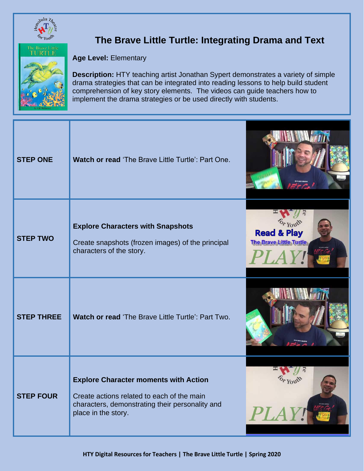

## **The Brave Little Turtle: Integrating Drama and Text**



**Age Level:** Elementary

**Description:** HTY teaching artist Jonathan Sypert demonstrates a variety of simple drama strategies that can be integrated into reading lessons to help build student comprehension of key story elements. The videos can guide teachers how to implement the drama strategies or be used directly with students.

| <b>STEP ONE</b>   | Watch or read 'The Brave Little Turtle': Part One.                                                                                                                   |                                                                           |
|-------------------|----------------------------------------------------------------------------------------------------------------------------------------------------------------------|---------------------------------------------------------------------------|
| <b>STEP TWO</b>   | <b>Explore Characters with Snapshots</b><br>Create snapshots (frozen images) of the principal<br>characters of the story.                                            | $o_{r}$ Youth<br><b>Read &amp; Play</b><br><b>The Brave Little Turtle</b> |
| <b>STEP THREE</b> | Watch or read 'The Brave Little Turtle': Part Two.                                                                                                                   |                                                                           |
| <b>STEP FOUR</b>  | <b>Explore Character moments with Action</b><br>Create actions related to each of the main<br>characters, demonstrating their personality and<br>place in the story. | PLAY!                                                                     |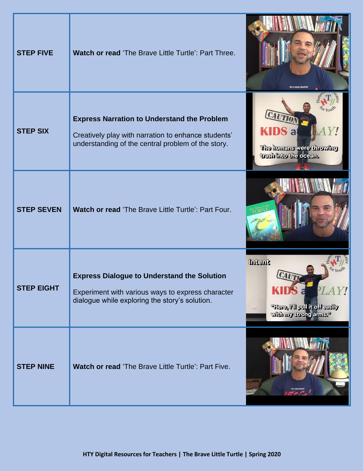| <b>STEP FIVE</b>  | Watch or read 'The Brave Little Turtle': Part Three.                                                                                                            | 2019-2020 SEASOI                                                                                                            |
|-------------------|-----------------------------------------------------------------------------------------------------------------------------------------------------------------|-----------------------------------------------------------------------------------------------------------------------------|
| <b>STEP SIX</b>   | <b>Express Narration to Understand the Problem</b><br>Creatively play with narration to enhance students'<br>understanding of the central problem of the story. | <b>KIDS a</b><br>The humans were throwing<br>tresh into the ocean.                                                          |
| <b>STEP SEVEN</b> | Watch or read 'The Brave Little Turtle': Part Four.                                                                                                             |                                                                                                                             |
| <b>STEP EIGHT</b> | <b>Express Dialogue to Understand the Solution</b><br>Experiment with various ways to express character<br>dialogue while exploring the story's solution.       | <b>fremd</b><br><b>There, Mi pull it offersity</b><br>$\left\lfloor \frac{m-1}{m-1} \right\rfloor$<br>with my strong arms." |
| <b>STEP NINE</b>  | Watch or read 'The Brave Little Turtle': Part Five.                                                                                                             |                                                                                                                             |